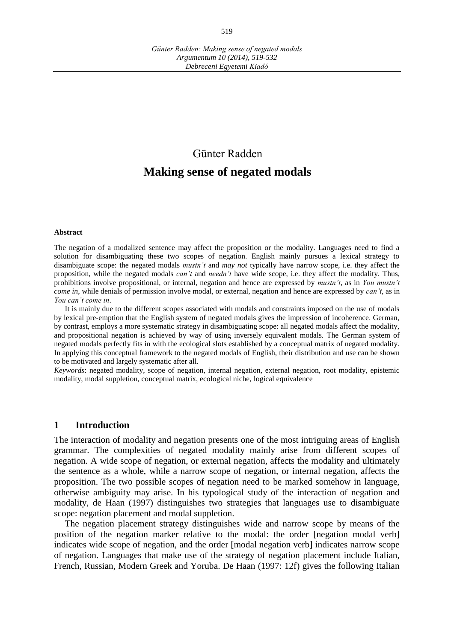# Günter Radden **Making sense of negated modals**

#### **Abstract**

The negation of a modalized sentence may affect the proposition or the modality. Languages need to find a solution for disambiguating these two scopes of negation. English mainly pursues a lexical strategy to disambiguate scope: the negated modals *mustn't* and *may not* typically have narrow scope, i.e. they affect the proposition, while the negated modals *can't* and *needn't* have wide scope, i.e. they affect the modality. Thus, prohibitions involve propositional, or internal, negation and hence are expressed by *mustn't*, as in *You mustn't come in*, while denials of permission involve modal, or external, negation and hence are expressed by *can't*, as in *You can't come in*.

It is mainly due to the different scopes associated with modals and constraints imposed on the use of modals by lexical pre-emption that the English system of negated modals gives the impression of incoherence. German, by contrast, employs a more systematic strategy in disambiguating scope: all negated modals affect the modality, and propositional negation is achieved by way of using inversely equivalent modals. The German system of negated modals perfectly fits in with the ecological slots established by a conceptual matrix of negated modality. In applying this conceptual framework to the negated modals of English, their distribution and use can be shown to be motivated and largely systematic after all.

*Keywords*: negated modality, scope of negation, internal negation, external negation, root modality, epistemic modality, modal suppletion, conceptual matrix, ecological niche, logical equivalence

#### **1 Introduction**

The interaction of modality and negation presents one of the most intriguing areas of English grammar. The complexities of negated modality mainly arise from different scopes of negation. A wide scope of negation, or external negation, affects the modality and ultimately the sentence as a whole, while a narrow scope of negation, or internal negation, affects the proposition. The two possible scopes of negation need to be marked somehow in language, otherwise ambiguity may arise. In his typological study of the interaction of negation and modality, de Haan (1997) distinguishes two strategies that languages use to disambiguate scope: negation placement and modal suppletion.

The negation placement strategy distinguishes wide and narrow scope by means of the position of the negation marker relative to the modal: the order [negation modal verb] indicates wide scope of negation, and the order [modal negation verb] indicates narrow scope of negation. Languages that make use of the strategy of negation placement include Italian, French, Russian, Modern Greek and Yoruba. De Haan (1997: 12f) gives the following Italian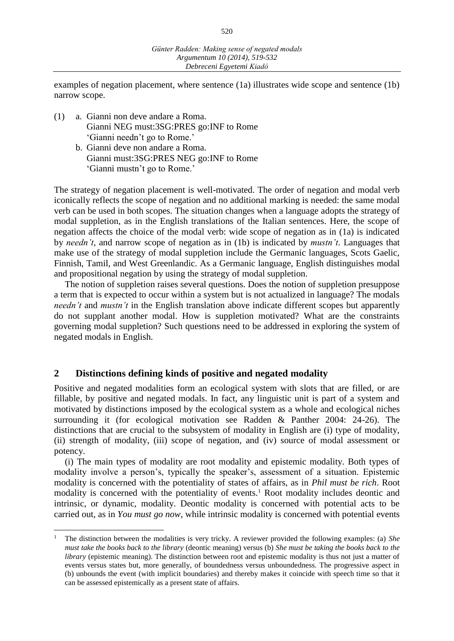examples of negation placement, where sentence (1a) illustrates wide scope and sentence (1b) narrow scope.

- (1) a. Gianni non deve andare a Roma. Gianni NEG must:3SG:PRES go:INF to Rome 'Gianni needn't go to Rome.'
	- b. Gianni deve non andare a Roma. Gianni must:3SG:PRES NEG go:INF to Rome 'Gianni mustn't go to Rome.'

The strategy of negation placement is well-motivated. The order of negation and modal verb iconically reflects the scope of negation and no additional marking is needed: the same modal verb can be used in both scopes. The situation changes when a language adopts the strategy of modal suppletion, as in the English translations of the Italian sentences. Here, the scope of negation affects the choice of the modal verb: wide scope of negation as in (1a) is indicated by *needn't*, and narrow scope of negation as in (1b) is indicated by *mustn't*. Languages that make use of the strategy of modal suppletion include the Germanic languages, Scots Gaelic, Finnish, Tamil, and West Greenlandic. As a Germanic language, English distinguishes modal and propositional negation by using the strategy of modal suppletion.

The notion of suppletion raises several questions. Does the notion of suppletion presuppose a term that is expected to occur within a system but is not actualized in language? The modals *needn't* and *mustn't* in the English translation above indicate different scopes but apparently do not supplant another modal. How is suppletion motivated? What are the constraints governing modal suppletion? Such questions need to be addressed in exploring the system of negated modals in English.

# **2 Distinctions defining kinds of positive and negated modality**

 $\overline{a}$ 

Positive and negated modalities form an ecological system with slots that are filled, or are fillable, by positive and negated modals. In fact, any linguistic unit is part of a system and motivated by distinctions imposed by the ecological system as a whole and ecological niches surrounding it (for ecological motivation see Radden & Panther 2004: 24-26). The distinctions that are crucial to the subsystem of modality in English are (i) type of modality, (ii) strength of modality, (iii) scope of negation, and (iv) source of modal assessment or potency.

(i) The main types of modality are root modality and epistemic modality. Both types of modality involve a person's, typically the speaker's, assessment of a situation. Epistemic modality is concerned with the potentiality of states of affairs, as in *Phil must be rich*. Root modality is concerned with the potentiality of events.<sup>1</sup> Root modality includes deontic and intrinsic, or dynamic, modality. Deontic modality is concerned with potential acts to be carried out, as in *You must go now*, while intrinsic modality is concerned with potential events

<sup>1</sup> The distinction between the modalities is very tricky. A reviewer provided the following examples: (a) *She must take the books back to the library* (deontic meaning) versus (b) *She must be taking the books back to the library* (epistemic meaning). The distinction between root and epistemic modality is thus not just a matter of events versus states but, more generally, of boundedness versus unboundedness. The progressive aspect in (b) unbounds the event (with implicit boundaries) and thereby makes it coincide with speech time so that it can be assessed epistemically as a present state of affairs.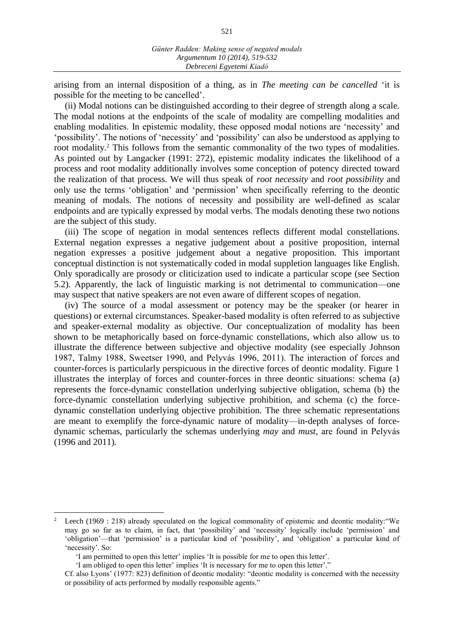arising from an internal disposition of a thing, as in *The meeting can be cancelled* 'it is possible for the meeting to be cancelled'.

(ii) Modal notions can be distinguished according to their degree of strength along a scale. The modal notions at the endpoints of the scale of modality are compelling modalities and enabling modalities. In epistemic modality, these opposed modal notions are 'necessity' and 'possibility'. The notions of 'necessity' and 'possibility' can also be understood as applying to root modality.<sup>2</sup> This follows from the semantic commonality of the two types of modalities. As pointed out by Langacker (1991: 272), epistemic modality indicates the likelihood of a process and root modality additionally involves some conception of potency directed toward the realization of that process. We will thus speak of *root necessity* and *root possibility* and only use the terms 'obligation' and 'permission' when specifically referring to the deontic meaning of modals. The notions of necessity and possibility are well-defined as scalar endpoints and are typically expressed by modal verbs. The modals denoting these two notions are the subject of this study.

(iii) The scope of negation in modal sentences reflects different modal constellations. External negation expresses a negative judgement about a positive proposition, internal negation expresses a positive judgement about a negative proposition. This important conceptual distinction is not systematically coded in modal suppletion languages like English. Only sporadically are prosody or cliticization used to indicate a particular scope (see Section 5.2). Apparently, the lack of linguistic marking is not detrimental to communication—one may suspect that native speakers are not even aware of different scopes of negation.

(iv) The source of a modal assessment or potency may be the speaker (or hearer in questions) or external circumstances. Speaker-based modality is often referred to as subjective and speaker-external modality as objective. Our conceptualization of modality has been shown to be metaphorically based on force-dynamic constellations, which also allow us to illustrate the difference between subjective and objective modality (see especially Johnson 1987, Talmy 1988, Sweetser 1990, and Pelyvás 1996, 2011). The interaction of forces and counter-forces is particularly perspicuous in the directive forces of deontic modality. Figure 1 illustrates the interplay of forces and counter-forces in three deontic situations: schema (a) represents the force-dynamic constellation underlying subjective obligation, schema (b) the force-dynamic constellation underlying subjective prohibition, and schema (c) the forcedynamic constellation underlying objective prohibition. The three schematic representations are meant to exemplify the force-dynamic nature of modality—in-depth analyses of forcedynamic schemas, particularly the schemas underlying *may* and *must*, are found in Pelyvás (1996 and 2011)*.*

 $\overline{a}$ 

Leech (1969 : 218) already speculated on the logical commonality of epistemic and deontic modality: "We may go so far as to claim, in fact, that 'possibility' and 'necessity' logically include 'permission' and 'obligation'—that 'permission' is a particular kind of 'possibility', and 'obligation' a particular kind of 'necessity'. So:

<sup>&#</sup>x27;I am permitted to open this letter' implies 'It is possible for me to open this letter'.

<sup>&#</sup>x27;I am obliged to open this letter' implies 'It is necessary for me to open this letter'."

Cf. also Lyons' (1977: 823) definition of deontic modality: "deontic modality is concerned with the necessity or possibility of acts performed by modally responsible agents."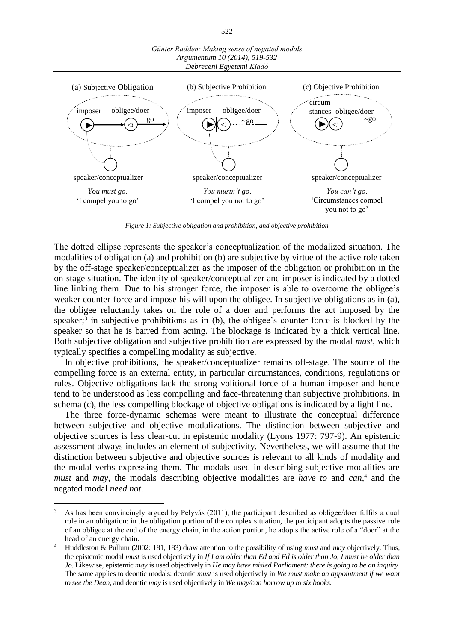

*Figure 1: Subjective obligation and prohibition, and objective prohibition*

The dotted ellipse represents the speaker's conceptualization of the modalized situation. The modalities of obligation (a) and prohibition (b) are subjective by virtue of the active role taken by the off-stage speaker/conceptualizer as the imposer of the obligation or prohibition in the on-stage situation. The identity of speaker/conceptualizer and imposer is indicated by a dotted line linking them. Due to his stronger force, the imposer is able to overcome the obligee's weaker counter-force and impose his will upon the obligee. In subjective obligations as in (a), the obligee reluctantly takes on the role of a doer and performs the act imposed by the speaker;<sup>3</sup> in subjective prohibitions as in (b), the obligee's counter-force is blocked by the speaker so that he is barred from acting. The blockage is indicated by a thick vertical line. Both subjective obligation and subjective prohibition are expressed by the modal *must*, which typically specifies a compelling modality as subjective.

In objective prohibitions, the speaker/conceptualizer remains off-stage. The source of the compelling force is an external entity, in particular circumstances, conditions, regulations or rules. Objective obligations lack the strong volitional force of a human imposer and hence tend to be understood as less compelling and face-threatening than subjective prohibitions. In schema (c), the less compelling blockage of objective obligations is indicated by a light line.

The three force-dynamic schemas were meant to illustrate the conceptual difference between subjective and objective modalizations. The distinction between subjective and objective sources is less clear-cut in epistemic modality (Lyons 1977: 797-9). An epistemic assessment always includes an element of subjectivity. Nevertheless, we will assume that the distinction between subjective and objective sources is relevant to all kinds of modality and the modal verbs expressing them. The modals used in describing subjective modalities are *must* and *may*, the modals describing objective modalities are *have to* and *can*, <sup>4</sup> and the negated modal *need not*.

 $\overline{a}$ 

522

<sup>3</sup> As has been convincingly argued by Pelyvás (2011), the participant described as obligee/doer fulfils a dual role in an obligation: in the obligation portion of the complex situation, the participant adopts the passive role of an obligee at the end of the energy chain, in the action portion, he adopts the active role of a "doer" at the head of an energy chain.

<sup>4</sup> Huddleston & Pullum (2002: 181, 183) draw attention to the possibility of using *must* and *may* objectively. Thus, the epistemic modal *must* is used objectively in *If I am older than Ed and Ed is older than Jo, I must be older than Jo*. Likewise, epistemic *may* is used objectively in *He may have misled Parliament: there is going to be an inquiry*. The same applies to deontic modals: deontic *must* is used objectively in *We must make an appointment if we want to see the Dean,* and deontic *may* is used objectively in *We may/can borrow up to six books.*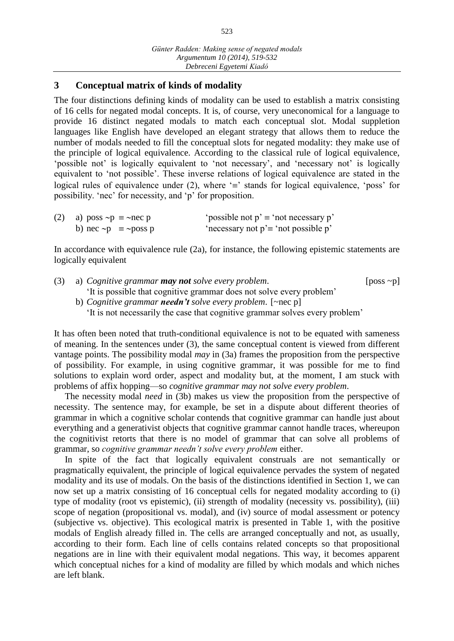# **3 Conceptual matrix of kinds of modality**

The four distinctions defining kinds of modality can be used to establish a matrix consisting of 16 cells for negated modal concepts. It is, of course, very uneconomical for a language to provide 16 distinct negated modals to match each conceptual slot. Modal suppletion languages like English have developed an elegant strategy that allows them to reduce the number of modals needed to fill the conceptual slots for negated modality: they make use of the principle of logical equivalence. According to the classical rule of logical equivalence, 'possible not' is logically equivalent to 'not necessary', and 'necessary not' is logically equivalent to 'not possible'. These inverse relations of logical equivalence are stated in the logical rules of equivalence under (2), where  $\equiv$  stands for logical equivalence, 'poss' for possibility. 'nec' for necessity, and 'p' for proposition.

| (2) a) poss $\neg p \equiv \neg \text{nec } p$ | 'possible not $p' \equiv$ 'not necessary p' |
|------------------------------------------------|---------------------------------------------|
| b) nec $\neg p \equiv \neg poss p$             | 'necessary not $p \equiv$ 'not possible p'  |

In accordance with equivalence rule (2a), for instance, the following epistemic statements are logically equivalent

| $(3)$ a) Cognitive grammar <b>may not</b> solve every problem.                                                                     | [ $poss \sim p$ ] |  |
|------------------------------------------------------------------------------------------------------------------------------------|-------------------|--|
| It is possible that cognitive grammar does not solve every problem                                                                 |                   |  |
| b) Cognitive grammar <b>needn't</b> solve every problem. [ $\sim$ nec p]                                                           |                   |  |
| $\sqrt{1}$ , the contract of $\sqrt{1}$ , $\sqrt{1}$ , $\sqrt{1}$ , $\sqrt{1}$ , $\sqrt{1}$ , $\sqrt{1}$ , $\sqrt{1}$ , $\sqrt{1}$ |                   |  |

'It is not necessarily the case that cognitive grammar solves every problem'

It has often been noted that truth-conditional equivalence is not to be equated with sameness of meaning. In the sentences under (3), the same conceptual content is viewed from different vantage points. The possibility modal *may* in (3a) frames the proposition from the perspective of possibility. For example, in using cognitive grammar, it was possible for me to find solutions to explain word order, aspect and modality but, at the moment, I am stuck with problems of affix hopping—so *cognitive grammar may not solve every problem*.

The necessity modal *need* in (3b) makes us view the proposition from the perspective of necessity. The sentence may, for example, be set in a dispute about different theories of grammar in which a cognitive scholar contends that cognitive grammar can handle just about everything and a generativist objects that cognitive grammar cannot handle traces, whereupon the cognitivist retorts that there is no model of grammar that can solve all problems of grammar, so *cognitive grammar needn't solve every problem* either.

In spite of the fact that logically equivalent construals are not semantically or pragmatically equivalent, the principle of logical equivalence pervades the system of negated modality and its use of modals. On the basis of the distinctions identified in Section 1, we can now set up a matrix consisting of 16 conceptual cells for negated modality according to (i) type of modality (root vs epistemic), (ii) strength of modality (necessity vs. possibility), (iii) scope of negation (propositional vs. modal), and (iv) source of modal assessment or potency (subjective vs. objective). This ecological matrix is presented in Table 1, with the positive modals of English already filled in. The cells are arranged conceptually and not, as usually, according to their form. Each line of cells contains related concepts so that propositional negations are in line with their equivalent modal negations. This way, it becomes apparent which conceptual niches for a kind of modality are filled by which modals and which niches are left blank.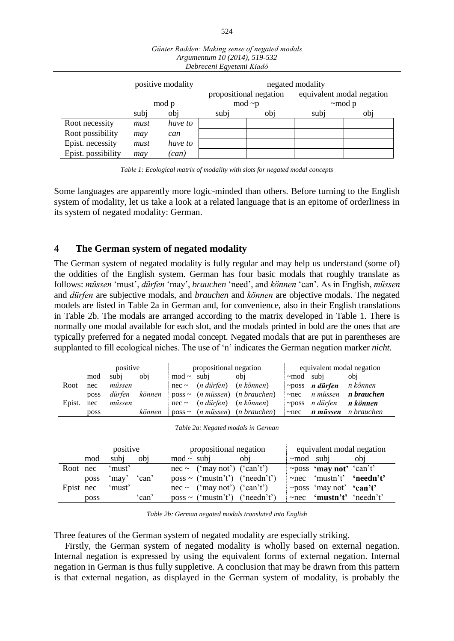| Debreceni Egyetemi Kiadó |       |                   |              |                        |                  |                           |  |
|--------------------------|-------|-------------------|--------------|------------------------|------------------|---------------------------|--|
|                          |       | positive modality |              |                        | negated modality |                           |  |
|                          |       |                   |              | propositional negation |                  | equivalent modal negation |  |
|                          | mod p |                   | $mod \sim p$ |                        | $~\sim$ mod p    |                           |  |
|                          | subj  | obj               | subj         | obj                    | subj             | obj                       |  |
| Root necessity           | must  | have to           |              |                        |                  |                           |  |
| Root possibility         | may   | can               |              |                        |                  |                           |  |
| Epist. necessity         | must  | have to           |              |                        |                  |                           |  |
| Epist. possibility       | may   | can)              |              |                        |                  |                           |  |

| Günter Radden: Making sense of negated modals |
|-----------------------------------------------|
| Argumentum 10 (2014), 519-532                 |
| Debreceni Egyetemi Kiadó                      |

Some languages are apparently more logic-minded than others. Before turning to the English system of modality, let us take a look at a related language that is an epitome of orderliness in its system of negated modality: German.

# **4 The German system of negated modality**

The German system of negated modality is fully regular and may help us understand (some of) the oddities of the English system. German has four basic modals that roughly translate as follows: *müssen* 'must', *dürfen* 'may', *brauchen* 'need', and *können* 'can'. As in English, *müssen*  and *dürfen* are subjective modals, and *brauchen* and *können* are objective modals. The negated models are listed in Table 2a in German and, for convenience, also in their English translations in Table 2b. The modals are arranged according to the matrix developed in Table 1. There is normally one modal available for each slot, and the modals printed in bold are the ones that are typically preferred for a negated modal concept. Negated modals that are put in parentheses are supplanted to fill ecological niches. The use of 'n' indicates the German negation marker *nicht*.

|        | positive    |        |        | propositional negation |                                                  |                                                                | equivalent modal negation |                                             |                            |
|--------|-------------|--------|--------|------------------------|--------------------------------------------------|----------------------------------------------------------------|---------------------------|---------------------------------------------|----------------------------|
|        | mod         | subi   | obi    | $\text{mod}$ ~         | subi                                             | obi                                                            | $\sim$ mod                | subi                                        | obi                        |
| Root   | nec         | müssen |        |                        | $nec \sim$ ( <i>n</i> dürfen) ( <i>n</i> können) |                                                                |                           | $\sim$ poss <i>n</i> dürfen <i>n</i> können |                            |
|        | poss        | dürfen | können |                        |                                                  | $poss \sim (n \text{ m} \times \text{m})$ ( <i>n</i> brauchen) | $\sim$ nec                |                                             | n müssen <b>n brauchen</b> |
| Epist. | nec         | müssen |        |                        | $nec \sim$ ( <i>n</i> dürfen) ( <i>n</i> können) |                                                                | $~\sim$ poss              | n dürfen <b>n können</b>                    |                            |
|        | <b>poss</b> |        | können |                        |                                                  | $poss \sim (n \text{ m} \times \text{m})$ ( <i>n</i> brauchen) | $\neg$ nec                | n müssen                                    | n brauchen                 |

| Table 2a: Negated modals in German |  |  |  |
|------------------------------------|--|--|--|
|------------------------------------|--|--|--|

|           | positive    | propositional negation              | equivalent modal negation      |  |  |
|-----------|-------------|-------------------------------------|--------------------------------|--|--|
| mod       | subi<br>obi | $mod \sim subi$<br>obi              | $~\sim$ mod subj<br>obi        |  |  |
| Root nec  | 'must'      | $nec \sim (may not') (can't')$      | $\sim$ poss 'may not' 'can't'  |  |  |
| poss      | 'may' 'can' | $poss \sim$ ('mustn't') ('needn't') | $\sim$ nec 'mustn't' 'needn't' |  |  |
| Epist nec | 'must'      | $nec \sim$ ('may not') ('can't')    | $\sim$ poss 'may not' 'can't'  |  |  |
| poss      | ʻcan'       | $poss \sim$ ('mustn't') ('needn't') | $\sim$ nec 'mustn't' 'needn't' |  |  |

*Table 2b: German negated modals translated into English*

Three features of the German system of negated modality are especially striking.

Firstly, the German system of negated modality is wholly based on external negation. Internal negation is expressed by using the equivalent forms of external negation. Internal negation in German is thus fully suppletive. A conclusion that may be drawn from this pattern is that external negation, as displayed in the German system of modality, is probably the

*Table 1: Ecological matrix of modality with slots for negated modal concepts*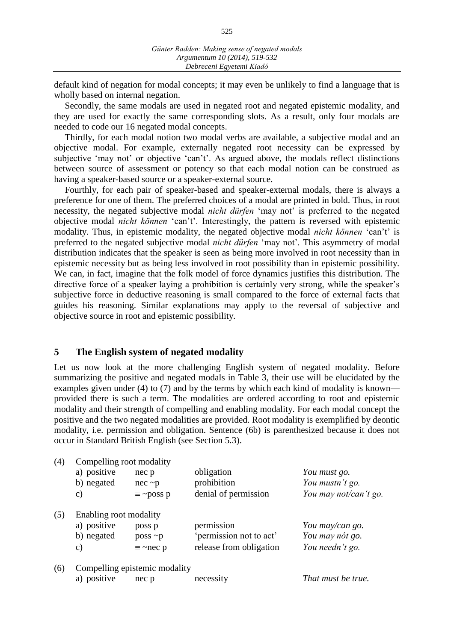default kind of negation for modal concepts; it may even be unlikely to find a language that is wholly based on internal negation.

Secondly, the same modals are used in negated root and negated epistemic modality, and they are used for exactly the same corresponding slots. As a result, only four modals are needed to code our 16 negated modal concepts.

Thirdly, for each modal notion two modal verbs are available, a subjective modal and an objective modal. For example, externally negated root necessity can be expressed by subjective 'may not' or objective 'can't'. As argued above, the modals reflect distinctions between source of assessment or potency so that each modal notion can be construed as having a speaker-based source or a speaker-external source.

Fourthly, for each pair of speaker-based and speaker-external modals, there is always a preference for one of them. The preferred choices of a modal are printed in bold. Thus, in root necessity, the negated subjective modal *nicht dürfen* 'may not' is preferred to the negated objective modal *nicht können* 'can't'. Interestingly, the pattern is reversed with epistemic modality. Thus, in epistemic modality, the negated objective modal *nicht können* 'can't' is preferred to the negated subjective modal *nicht dürfen* 'may not'*.* This asymmetry of modal distribution indicates that the speaker is seen as being more involved in root necessity than in epistemic necessity but as being less involved in root possibility than in epistemic possibility. We can, in fact, imagine that the folk model of force dynamics justifies this distribution. The directive force of a speaker laying a prohibition is certainly very strong, while the speaker's subjective force in deductive reasoning is small compared to the force of external facts that guides his reasoning. Similar explanations may apply to the reversal of subjective and objective source in root and epistemic possibility.

### **5 The English system of negated modality**

Let us now look at the more challenging English system of negated modality. Before summarizing the positive and negated modals in Table 3, their use will be elucidated by the examples given under (4) to (7) and by the terms by which each kind of modality is known provided there is such a term. The modalities are ordered according to root and epistemic modality and their strength of compelling and enabling modality. For each modal concept the positive and the two negated modalities are provided. Root modality is exemplified by deontic modality, i.e. permission and obligation. Sentence (6b) is parenthesized because it does not occur in Standard British English (see Section 5.3).

| (4) | Compelling root modality |                               |                         |                       |  |  |  |  |  |
|-----|--------------------------|-------------------------------|-------------------------|-----------------------|--|--|--|--|--|
|     | a) positive              | nec p                         | obligation              | You must go.          |  |  |  |  |  |
|     | b) negated               | $nec$ ~ $p$                   | prohibition             | You mustn't go.       |  |  |  |  |  |
|     | $\mathbf{c})$            | $\equiv \sim$ poss p          | denial of permission    | You may not/can't go. |  |  |  |  |  |
| (5) | Enabling root modality   |                               |                         |                       |  |  |  |  |  |
|     | a) positive              | poss p                        | permission              | You may/can go.       |  |  |  |  |  |
|     | b) negated               | $poss \sim p$                 | 'permission not to act' | You may nót go.       |  |  |  |  |  |
|     | C)                       | $\equiv \sim$ nec p           | release from obligation | You needn't go.       |  |  |  |  |  |
| (6) |                          | Compelling epistemic modality |                         |                       |  |  |  |  |  |
|     | a) positive              | nec p                         | necessity               | That must be true.    |  |  |  |  |  |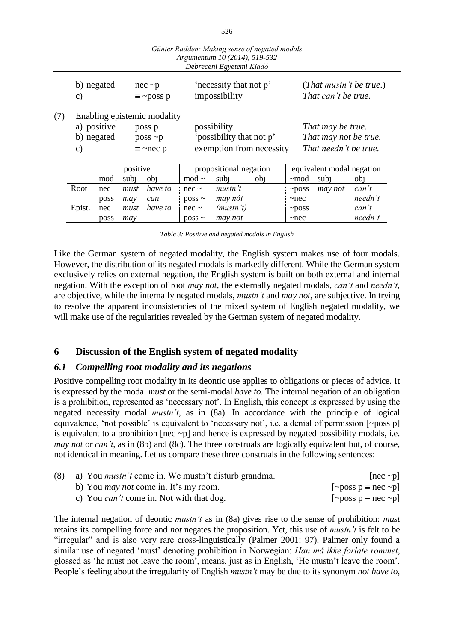|     |                                                                                                                             |            |                                                                    |                                     |                                                                     | Günter Radden: Making sense of negated modals<br>Argumentum 10 (2014), 519-532<br>Debreceni Egyetemi Kiadó |     |                                                                     |                     |                         |
|-----|-----------------------------------------------------------------------------------------------------------------------------|------------|--------------------------------------------------------------------|-------------------------------------|---------------------------------------------------------------------|------------------------------------------------------------------------------------------------------------|-----|---------------------------------------------------------------------|---------------------|-------------------------|
|     | $\mathbf{c})$                                                                                                               | b) negated |                                                                    | $nec$ ~ $p$<br>$\equiv \sim$ poss p |                                                                     | 'necessity that not p'<br>impossibility                                                                    |     |                                                                     | That can't be true. | (That mustn't be true.) |
| (7) | Enabling epistemic modality<br>a) positive<br>poss p<br>b) negated<br>$poss \sim p$<br>$\mathbf{c})$<br>$\equiv \sim$ nec p |            |                                                                    |                                     | possibility<br>'possibility that not p'<br>exemption from necessity |                                                                                                            |     | That may be true.<br>That may not be true.<br>That needn't be true. |                     |                         |
|     | positive<br>mod                                                                                                             |            | propositional negation<br>mod $\sim$<br>subj<br>subi<br>obi<br>obj |                                     | $~\sim$ mod                                                         | equivalent modal negation<br>subj                                                                          | obj |                                                                     |                     |                         |
|     | Root                                                                                                                        | nec        | must                                                               | have to                             | $nec \sim$                                                          | mustn't                                                                                                    |     | $\neg$ poss                                                         | may not             | can't                   |
|     |                                                                                                                             | poss       | may                                                                | can                                 | $poss \sim$                                                         | may nót                                                                                                    |     | $\sim$ nec                                                          |                     | needn't                 |
|     | Epist.                                                                                                                      | nec        | must                                                               | have to                             | $nec \sim$                                                          | (mustn't)                                                                                                  |     | $\neg$ poss                                                         |                     | can't                   |
|     |                                                                                                                             | poss       | may                                                                |                                     | $poss \sim$                                                         | may not                                                                                                    |     | $\sim$ nec                                                          |                     | needn't                 |

| Table 3: Positive and negated modals in English |  |  |  |
|-------------------------------------------------|--|--|--|
|                                                 |  |  |  |

Like the German system of negated modality, the English system makes use of four modals. However, the distribution of its negated modals is markedly different. While the German system exclusively relies on external negation, the English system is built on both external and internal negation. With the exception of root *may not*, the externally negated modals, *can't* and *needn't*, are objective, while the internally negated modals, *mustn't* and *may not*, are subjective. In trying to resolve the apparent inconsistencies of the mixed system of English negated modality, we will make use of the regularities revealed by the German system of negated modality.

# **6 Discussion of the English system of negated modality**

## *6.1 Compelling root modality and its negations*

Positive compelling root modality in its deontic use applies to obligations or pieces of advice. It is expressed by the modal *must* or the semi-modal *have to*. The internal negation of an obligation is a prohibition, represented as 'necessary not'. In English, this concept is expressed by using the negated necessity modal *mustn't*, as in (8a). In accordance with the principle of logical equivalence, 'not possible' is equivalent to 'necessary not', i.e. a denial of permission [~poss p] is equivalent to a prohibition [nec  $\neg$ ] and hence is expressed by negated possibility modals, i.e. *may not or can't*, as in (8b) and (8c). The three construals are logically equivalent but, of course, not identical in meaning. Let us compare these three construals in the following sentences:

| (8) a) You <i>mustn't</i> come in. We mustn't disturb grandma. | [nec $\sim$ p]            |
|----------------------------------------------------------------|---------------------------|
| b) You <i>may not</i> come in. It's my room.                   | [~poss $p \equiv$ nec ~p] |
| c) You <i>can't</i> come in. Not with that dog.                | [~poss $p \equiv$ nec ~p] |

The internal negation of deontic *mustn't* as in (8a) gives rise to the sense of prohibition: *must*  retains its compelling force and *not* negates the proposition. Yet, this use of *mustn't* is felt to be "irregular" and is also very rare cross-linguistically (Palmer 2001: 97). Palmer only found a similar use of negated 'must' denoting prohibition in Norwegian: *Han må ikke forlate rommet*, glossed as 'he must not leave the room', means, just as in English, 'He mustn't leave the room'. People's feeling about the irregularity of English *mustn't* may be due to its synonym *not have to*,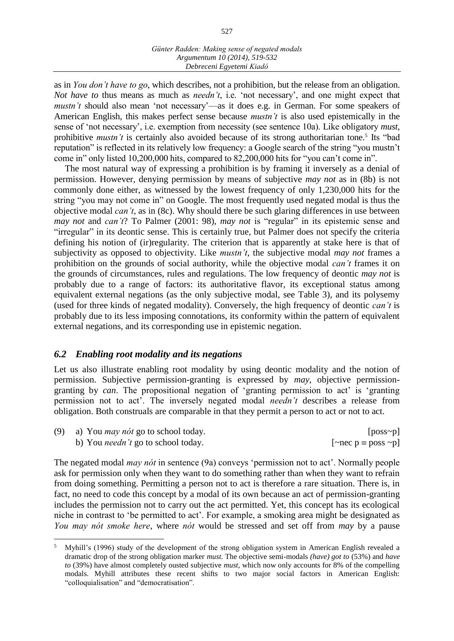as in *You don't have to go*, which describes, not a prohibition, but the release from an obligation. *Not have to thus means as much as <i>needn't*, i.e. 'not necessary', and one might expect that *mustn't* should also mean 'not necessary'—as it does e.g. in German. For some speakers of American English, this makes perfect sense because *mustn't* is also used epistemically in the sense of 'not necessary', i.e. exemption from necessity (see sentence 10a). Like obligatory *must*, prohibitive *mustn't* is certainly also avoided because of its strong authoritarian tone.<sup>5</sup> Its "bad reputation" is reflected in its relatively low frequency: a Google search of the string "you mustn't come in" only listed 10,200,000 hits, compared to 82,200,000 hits for "you can't come in".

The most natural way of expressing a prohibition is by framing it inversely as a denial of permission. However, denying permission by means of subjective *may not* as in (8b) is not commonly done either, as witnessed by the lowest frequency of only 1,230,000 hits for the string "you may not come in" on Google. The most frequently used negated modal is thus the objective modal *can't*, as in (8c). Why should there be such glaring differences in use between *may not and can't*? To Palmer (2001: 98), *may not is "regular" in its epistemic sense and* "irregular" in its deontic sense. This is certainly true, but Palmer does not specify the criteria defining his notion of (ir)regularity. The criterion that is apparently at stake here is that of subjectivity as opposed to objectivity. Like *mustn't*, the subjective modal *may not* frames a prohibition on the grounds of social authority, while the objective modal *can't* frames it on the grounds of circumstances, rules and regulations. The low frequency of deontic *may not* is probably due to a range of factors: its authoritative flavor, its exceptional status among equivalent external negations (as the only subjective modal, see Table 3), and its polysemy (used for three kinds of negated modality). Conversely, the high frequency of deontic *can't* is probably due to its less imposing connotations, its conformity within the pattern of equivalent external negations, and its corresponding use in epistemic negation.

## *6.2 Enabling root modality and its negations*

 $\overline{a}$ 

Let us also illustrate enabling root modality by using deontic modality and the notion of permission. Subjective permission-granting is expressed by *may*, objective permissiongranting by *can*. The propositional negation of 'granting permission to act' is 'granting permission not to act'. The inversely negated modal *needn't* describes a release from obligation. Both construals are comparable in that they permit a person to act or not to act.

| (9) a) You <i>may not</i> go to school today. | $[poss\sim p]$                  |
|-----------------------------------------------|---------------------------------|
| b) You <i>needn't</i> go to school today.     | [ $\sim$ nec p = poss $\sim$ p] |

The negated modal *may nót* in sentence (9a) conveys 'permission not to act'. Normally people ask for permission only when they want to do something rather than when they want to refrain from doing something. Permitting a person not to act is therefore a rare situation. There is, in fact, no need to code this concept by a modal of its own because an act of permission-granting includes the permission not to carry out the act permitted. Yet, this concept has its ecological niche in contrast to 'be permitted to act'. For example, a smoking area might be designated as *You may nót smoke here*, where *nót* would be stressed and set off from *may* by a pause

<sup>5</sup> Myhill's (1996) study of the development of the strong obligation system in American English revealed a dramatic drop of the strong obligation marker *must*. The objective semi-modals *(have) got to* (53%) and *have to* (39%) have almost completely ousted subjective *must*, which now only accounts for 8% of the compelling modals. Myhill attributes these recent shifts to two major social factors in American English: "colloquialisation" and "democratisation".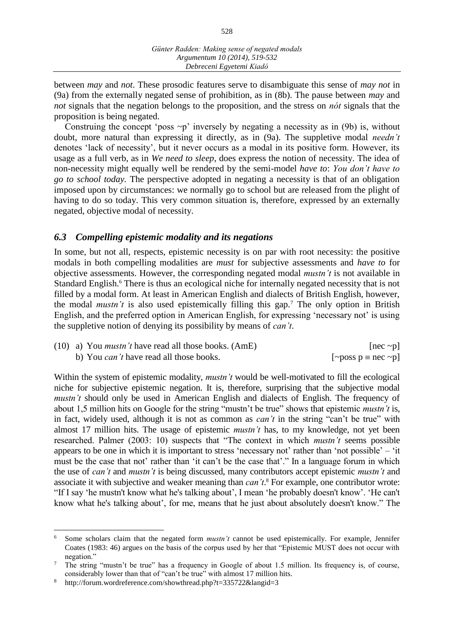between *may* and *not*. These prosodic features serve to disambiguate this sense of *may not* in (9a) from the externally negated sense of prohibition, as in (8b). The pause between *may* and *not* signals that the negation belongs to the proposition, and the stress on *nót* signals that the proposition is being negated.

Construing the concept 'poss  $\sim p$ ' inversely by negating a necessity as in (9b) is, without doubt, more natural than expressing it directly, as in (9a). The suppletive modal *needn't*  denotes 'lack of necessity', but it never occurs as a modal in its positive form. However, its usage as a full verb, as in *We need to sleep*, does express the notion of necessity. The idea of non-necessity might equally well be rendered by the semi-model *have to*: *You don't have to go to school today.* The perspective adopted in negating a necessity is that of an obligation imposed upon by circumstances: we normally go to school but are released from the plight of having to do so today. This very common situation is, therefore, expressed by an externally negated, objective modal of necessity.

# *6.3 Compelling epistemic modality and its negations*

In some, but not all, respects, epistemic necessity is on par with root necessity: the positive modals in both compelling modalities are *must* for subjective assessments and *have to* for objective assessments. However, the corresponding negated modal *mustn't* is not available in Standard English.<sup>6</sup> There is thus an ecological niche for internally negated necessity that is not filled by a modal form. At least in American English and dialects of British English, however, the modal *mustn't* is also used epistemically filling this gap.<sup>7</sup> The only option in British English, and the preferred option in American English, for expressing 'necessary not' is using the suppletive notion of denying its possibility by means of *can't*.

| $(10)$ a) You <i>mustn't</i> have read all those books. (AmE) | $[nec \sim p]$            |
|---------------------------------------------------------------|---------------------------|
| b) You <i>can't</i> have read all those books.                | [~poss $p \equiv$ nec ~p] |

Within the system of epistemic modality, *mustn't* would be well-motivated to fill the ecological niche for subjective epistemic negation. It is, therefore, surprising that the subjective modal *mustn't* should only be used in American English and dialects of English. The frequency of about 1,5 million hits on Google for the string "mustn't be true" shows that epistemic *mustn't* is, in fact, widely used, although it is not as common as *can't* in the string "can't be true" with almost 17 million hits. The usage of epistemic *mustn't* has, to my knowledge, not yet been researched. Palmer (2003: 10) suspects that "The context in which *mustn't* seems possible appears to be one in which it is important to stress 'necessary not' rather than 'not possible' – 'it must be the case that not' rather than 'it can't be the case that'." In a language forum in which the use of *can't* and *mustn't* is being discussed, many contributors accept epistemic *mustn't* and associate it with subjective and weaker meaning than *can't*. <sup>8</sup> For example, one contributor wrote: "If I say 'he mustn't know what he's talking about', I mean 'he probably doesn't know'. 'He can't know what he's talking about', for me, means that he just about absolutely doesn't know." The

 $\overline{a}$ 

<sup>6</sup> Some scholars claim that the negated form *mustn't* cannot be used epistemically. For example, Jennifer Coates (1983: 46) argues on the basis of the corpus used by her that "Epistemic MUST does not occur with negation."

<sup>&</sup>lt;sup>7</sup> The string "mustn't be true" has a frequency in Google of about 1.5 million. Its frequency is, of course, considerably lower than that of "can't be true" with almost 17 million hits.

<sup>8</sup> http://forum.wordreference.com/showthread.php?t=335722&langid=3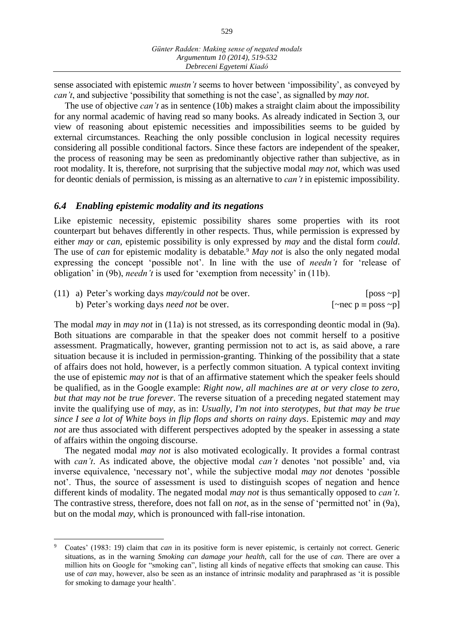sense associated with epistemic *mustn't* seems to hover between 'impossibility', as conveyed by *can't*, and subjective 'possibility that something is not the case', as signalled by *may not*.

The use of objective *can't* as in sentence (10b) makes a straight claim about the impossibility for any normal academic of having read so many books. As already indicated in Section 3, our view of reasoning about epistemic necessities and impossibilities seems to be guided by external circumstances. Reaching the only possible conclusion in logical necessity requires considering all possible conditional factors. Since these factors are independent of the speaker, the process of reasoning may be seen as predominantly objective rather than subjective, as in root modality. It is, therefore, not surprising that the subjective modal *may not*, which was used for deontic denials of permission, is missing as an alternative to *can't* in epistemic impossibility.

### *6.4 Enabling epistemic modality and its negations*

 $\overline{a}$ 

Like epistemic necessity, epistemic possibility shares some properties with its root counterpart but behaves differently in other respects. Thus, while permission is expressed by either *may* or *can*, epistemic possibility is only expressed by *may* and the distal form *could*. The use of *can* for epistemic modality is debatable*.* <sup>9</sup> *May not* is also the only negated modal expressing the concept 'possible not'. In line with the use of *needn't* for 'release of obligation' in (9b), *needn't* is used for 'exemption from necessity' in (11b).

| (11) a) Peter's working days <i>may/could not</i> be over. | [poss $\sim$ p]                 |
|------------------------------------------------------------|---------------------------------|
| b) Peter's working days <i>need not</i> be over.           | [ $\sim$ nec p = poss $\sim$ p] |

The modal *may* in *may not* in (11a) is not stressed, as its corresponding deontic modal in (9a). Both situations are comparable in that the speaker does not commit herself to a positive assessment. Pragmatically, however, granting permission not to act is, as said above, a rare situation because it is included in permission-granting. Thinking of the possibility that a state of affairs does not hold, however, is a perfectly common situation. A typical context inviting the use of epistemic *may not* is that of an affirmative statement which the speaker feels should be qualified, as in the Google example: *Right now, all machines are at or very close to zero, but that may not be true forever*. The reverse situation of a preceding negated statement may invite the qualifying use of *may*, as in: *Usually, I'm not into sterotypes, but that may be true since I see a lot of White boys in flip flops and shorts on rainy days*. Epistemic *may* and *may not* are thus associated with different perspectives adopted by the speaker in assessing a state of affairs within the ongoing discourse.

The negated modal *may not* is also motivated ecologically. It provides a formal contrast with *can't*. As indicated above, the objective modal *can't* denotes 'not possible' and, via inverse equivalence, 'necessary not', while the subjective modal *may not* denotes 'possible not'. Thus, the source of assessment is used to distinguish scopes of negation and hence different kinds of modality. The negated modal *may not* is thus semantically opposed to *can't*. The contrastive stress, therefore, does not fall on *not*, as in the sense of 'permitted not' in (9a), but on the modal *may*, which is pronounced with fall-rise intonation.

<sup>9</sup> Coates' (1983: 19) claim that *can* in its positive form is never epistemic, is certainly not correct. Generic situations, as in the warning *Smoking can damage your health*, call for the use of *can*. There are over a million hits on Google for "smoking can", listing all kinds of negative effects that smoking can cause. This use of *can* may, however, also be seen as an instance of intrinsic modality and paraphrased as 'it is possible for smoking to damage your health'.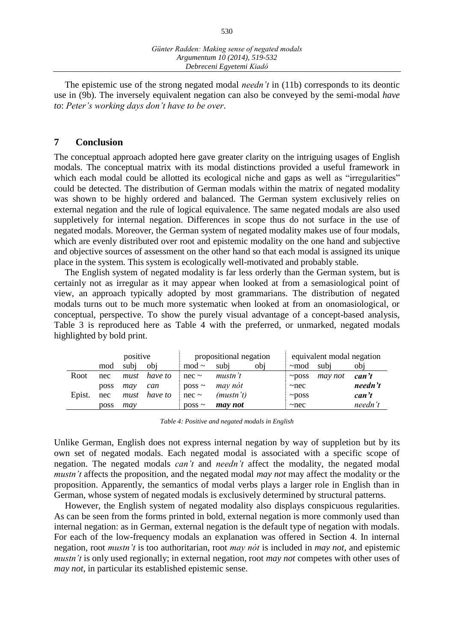The epistemic use of the strong negated modal *needn't* in (11b) corresponds to its deontic use in (9b). The inversely equivalent negation can also be conveyed by the semi-modal *have to*: *Peter's working days don't have to be over*.

### **7 Conclusion**

The conceptual approach adopted here gave greater clarity on the intriguing usages of English modals. The conceptual matrix with its modal distinctions provided a useful framework in which each modal could be allotted its ecological niche and gaps as well as "irregularities" could be detected. The distribution of German modals within the matrix of negated modality was shown to be highly ordered and balanced. The German system exclusively relies on external negation and the rule of logical equivalence. The same negated modals are also used suppletively for internal negation. Differences in scope thus do not surface in the use of negated modals. Moreover, the German system of negated modality makes use of four modals, which are evenly distributed over root and epistemic modality on the one hand and subjective and objective sources of assessment on the other hand so that each modal is assigned its unique place in the system. This system is ecologically well-motivated and probably stable.

The English system of negated modality is far less orderly than the German system, but is certainly not as irregular as it may appear when looked at from a semasiological point of view, an approach typically adopted by most grammarians. The distribution of negated modals turns out to be much more systematic when looked at from an onomasiological, or conceptual, perspective. To show the purely visual advantage of a concept-based analysis, Table 3 is reproduced here as Table 4 with the preferred, or unmarked, negated modals highlighted by bold print.

|        | positive |      |         | propositional negation |           | equivalent modal negation |              |         |         |
|--------|----------|------|---------|------------------------|-----------|---------------------------|--------------|---------|---------|
|        | mod      | subi | obi     | mod $\sim$             | subi      | obj                       | $~\sim$ mod  | subi    | obj     |
| Root   | nec      | must | have to | $nec \sim$             | mustn't   |                           | $~\sim$ poss | may not | can't   |
|        | poss     | may  | can     | $poss \sim$            | may nót   |                           | $\sim$ nec   |         | needn't |
| Epist. | nec      | must | have to | $nec \sim$             | (mustn't) |                           | $\sim$ poss  |         | can't   |
|        | poss     | mav  |         | $poss \sim$            | may not   |                           | $\sim$ nec   |         | needn't |

|  |  | Table 4: Positive and negated modals in English |  |  |
|--|--|-------------------------------------------------|--|--|
|--|--|-------------------------------------------------|--|--|

Unlike German, English does not express internal negation by way of suppletion but by its own set of negated modals. Each negated modal is associated with a specific scope of negation. The negated modals *can't* and *needn't* affect the modality, the negated modal *mustn't* affects the proposition, and the negated modal *may not* may affect the modality or the proposition. Apparently, the semantics of modal verbs plays a larger role in English than in German, whose system of negated modals is exclusively determined by structural patterns.

However, the English system of negated modality also displays conspicuous regularities. As can be seen from the forms printed in bold, external negation is more commonly used than internal negation: as in German, external negation is the default type of negation with modals. For each of the low-frequency modals an explanation was offered in Section 4. In internal negation, root *mustn't* is too authoritarian, root *may nót* is included in *may not*, and epistemic *mustn't* is only used regionally; in external negation, root *may not* competes with other uses of *may not*, in particular its established epistemic sense.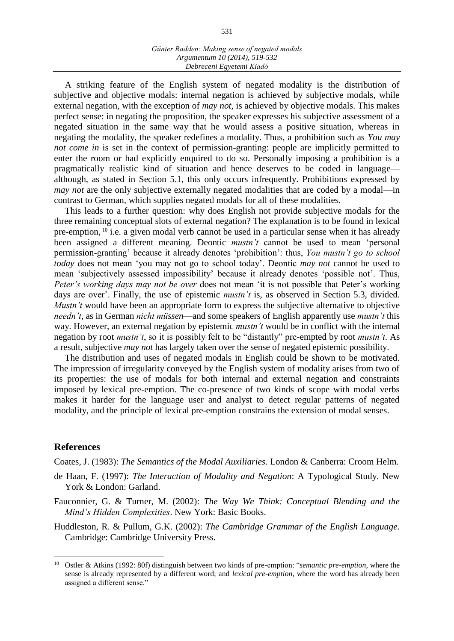A striking feature of the English system of negated modality is the distribution of subjective and objective modals: internal negation is achieved by subjective modals, while external negation, with the exception of *may not*, is achieved by objective modals. This makes perfect sense: in negating the proposition, the speaker expresses his subjective assessment of a negated situation in the same way that he would assess a positive situation, whereas in negating the modality, the speaker redefines a modality. Thus, a prohibition such as *You may not come in* is set in the context of permission-granting: people are implicitly permitted to enter the room or had explicitly enquired to do so. Personally imposing a prohibition is a pragmatically realistic kind of situation and hence deserves to be coded in language although, as stated in Section 5.1, this only occurs infrequently. Prohibitions expressed by *may not* are the only subjective externally negated modalities that are coded by a modal—in contrast to German, which supplies negated modals for all of these modalities.

This leads to a further question: why does English not provide subjective modals for the three remaining conceptual slots of external negation? The explanation is to be found in lexical pre-emption, <sup>10</sup> i.e. a given modal verb cannot be used in a particular sense when it has already been assigned a different meaning. Deontic *mustn't* cannot be used to mean 'personal permission-granting' because it already denotes 'prohibition': thus, *You mustn't go to school today* does not mean 'you may not go to school today'. Deontic *may not* cannot be used to mean 'subjectively assessed impossibility' because it already denotes 'possible not'. Thus, *Peter's working days may not be over* does not mean 'it is not possible that Peter's working days are over'. Finally, the use of epistemic *mustn't* is, as observed in Section 5.3, divided. *Mustn't* would have been an appropriate form to express the subjective alternative to objective *needn't*, as in German *nicht müssen*—and some speakers of English apparently use *mustn't* this way. However, an external negation by epistemic *mustn't* would be in conflict with the internal negation by root *mustn't*, so it is possibly felt to be "distantly" pre-empted by root *mustn't*. As a result, subjective *may not* has largely taken over the sense of negated epistemic possibility.

The distribution and uses of negated modals in English could be shown to be motivated. The impression of irregularity conveyed by the English system of modality arises from two of its properties: the use of modals for both internal and external negation and constraints imposed by lexical pre-emption. The co-presence of two kinds of scope with modal verbs makes it harder for the language user and analyst to detect regular patterns of negated modality, and the principle of lexical pre-emption constrains the extension of modal senses.

#### **References**

 $\overline{a}$ 

Coates, J. (1983): *The Semantics of the Modal Auxiliaries*. London & Canberra: Croom Helm.

- de Haan, F. (1997): *The Interaction of Modality and Negation*: A Typological Study. New York & London: Garland.
- Fauconnier, G. & Turner, M. (2002): *The Way We Think: Conceptual Blending and the Mind's Hidden Complexities*. New York: Basic Books.
- Huddleston, R. & Pullum, G.K. (2002): *The Cambridge Grammar of the English Language*. Cambridge: Cambridge University Press.

<sup>10</sup> Ostler & Atkins (1992: 80f) distinguish between two kinds of pre-emption: "*semantic pre-emption*, where the sense is already represented by a different word; and *lexical pre-emption*, where the word has already been assigned a different sense."